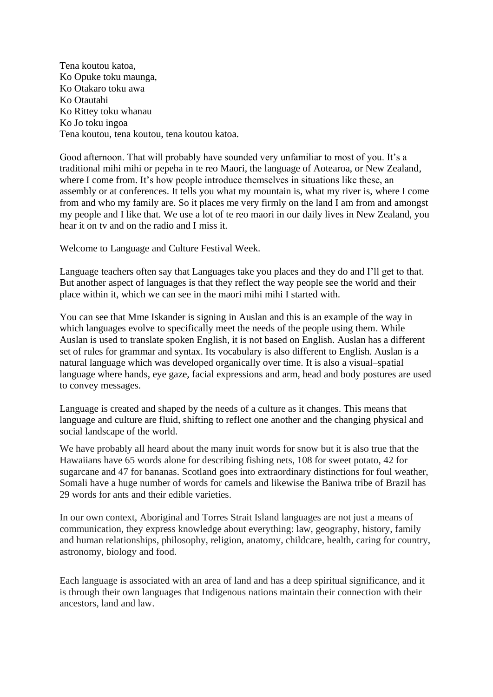Tena koutou katoa, Ko Opuke toku maunga, Ko Otakaro toku awa Ko Otautahi Ko Rittey toku whanau Ko Jo toku ingoa Tena koutou, tena koutou, tena koutou katoa.

Good afternoon. That will probably have sounded very unfamiliar to most of you. It's a traditional mihi mihi or pepeha in te reo Maori, the language of Aotearoa, or New Zealand, where I come from. It's how people introduce themselves in situations like these, an assembly or at conferences. It tells you what my mountain is, what my river is, where I come from and who my family are. So it places me very firmly on the land I am from and amongst my people and I like that. We use a lot of te reo maori in our daily lives in New Zealand, you hear it on tv and on the radio and I miss it.

Welcome to Language and Culture Festival Week.

Language teachers often say that Languages take you places and they do and I'll get to that. But another aspect of languages is that they reflect the way people see the world and their place within it, which we can see in the maori mihi mihi I started with.

You can see that Mme Iskander is signing in Auslan and this is an example of the way in which languages evolve to specifically meet the needs of the people using them. While Auslan is used to translate spoken English, it is not based on English. Auslan has a different set of rules for grammar and syntax. Its vocabulary is also different to English. Auslan is a natural language which was developed organically over time. It is also a visual–spatial language where hands, eye gaze, facial expressions and arm, head and body postures are used to convey messages.

Language is created and shaped by the needs of a culture as it changes. This means that language and culture are fluid, shifting to reflect one another and the changing physical and social landscape of the world.

We have probably all heard about the many inuit words for snow but it is also true that the Hawaiians have 65 words alone for describing fishing nets, 108 for sweet potato, 42 for sugarcane and 47 for bananas. Scotland goes into extraordinary distinctions for foul weather, Somali have a huge number of words for camels and likewise the Baniwa tribe of Brazil has 29 words for ants and their edible varieties.

In our own context, Aboriginal and Torres Strait Island languages are not just a means of communication, they express knowledge about everything: law, geography, history, family and human relationships, philosophy, religion, anatomy, childcare, health, caring for country, astronomy, biology and food.

Each language is associated with an area of land and has a deep spiritual significance, and it is through their own languages that Indigenous nations maintain their connection with their ancestors, land and law.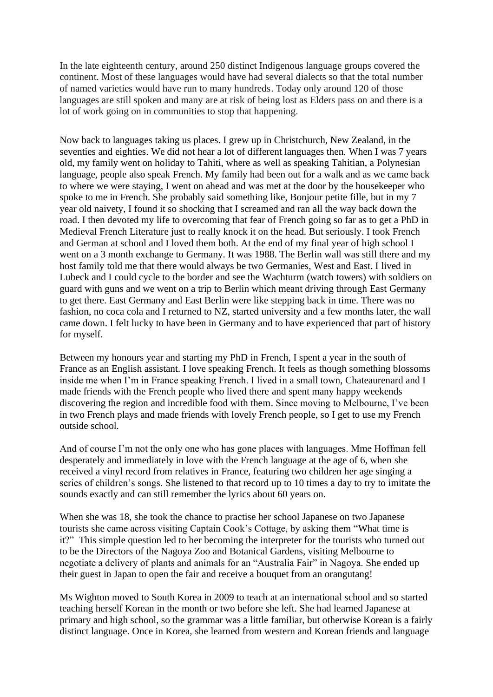In the late eighteenth century, around 250 distinct Indigenous language groups covered the continent. Most of these languages would have had several dialects so that the total number of named varieties would have run to many hundreds. Today only around 120 of those languages are still spoken and many are at risk of being lost as Elders pass on and there is a lot of work going on in communities to stop that happening.

Now back to languages taking us places. I grew up in Christchurch, New Zealand, in the seventies and eighties. We did not hear a lot of different languages then. When I was 7 years old, my family went on holiday to Tahiti, where as well as speaking Tahitian, a Polynesian language, people also speak French. My family had been out for a walk and as we came back to where we were staying, I went on ahead and was met at the door by the housekeeper who spoke to me in French. She probably said something like, Bonjour petite fille, but in my 7 year old naivety, I found it so shocking that I screamed and ran all the way back down the road. I then devoted my life to overcoming that fear of French going so far as to get a PhD in Medieval French Literature just to really knock it on the head. But seriously. I took French and German at school and I loved them both. At the end of my final year of high school I went on a 3 month exchange to Germany. It was 1988. The Berlin wall was still there and my host family told me that there would always be two Germanies, West and East. I lived in Lubeck and I could cycle to the border and see the Wachturm (watch towers) with soldiers on guard with guns and we went on a trip to Berlin which meant driving through East Germany to get there. East Germany and East Berlin were like stepping back in time. There was no fashion, no coca cola and I returned to NZ, started university and a few months later, the wall came down. I felt lucky to have been in Germany and to have experienced that part of history for myself.

Between my honours year and starting my PhD in French, I spent a year in the south of France as an English assistant. I love speaking French. It feels as though something blossoms inside me when I'm in France speaking French. I lived in a small town, Chateaurenard and I made friends with the French people who lived there and spent many happy weekends discovering the region and incredible food with them. Since moving to Melbourne, I've been in two French plays and made friends with lovely French people, so I get to use my French outside school.

And of course I'm not the only one who has gone places with languages. Mme Hoffman fell desperately and immediately in love with the French language at the age of 6, when she received a vinyl record from relatives in France, featuring two children her age singing a series of children's songs. She listened to that record up to 10 times a day to try to imitate the sounds exactly and can still remember the lyrics about 60 years on.

When she was 18, she took the chance to practise her school Japanese on two Japanese tourists she came across visiting Captain Cook's Cottage, by asking them "What time is it?" This simple question led to her becoming the interpreter for the tourists who turned out to be the Directors of the Nagoya Zoo and Botanical Gardens, visiting Melbourne to negotiate a delivery of plants and animals for an "Australia Fair" in Nagoya. She ended up their guest in Japan to open the fair and receive a bouquet from an orangutang!

Ms Wighton moved to South Korea in 2009 to teach at an international school and so started teaching herself Korean in the month or two before she left. She had learned Japanese at primary and high school, so the grammar was a little familiar, but otherwise Korean is a fairly distinct language. Once in Korea, she learned from western and Korean friends and language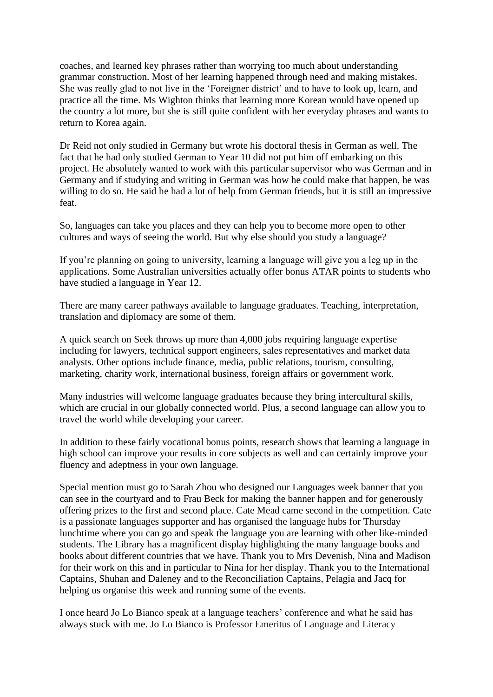coaches, and learned key phrases rather than worrying too much about understanding grammar construction. Most of her learning happened through need and making mistakes. She was really glad to not live in the 'Foreigner district' and to have to look up, learn, and practice all the time. Ms Wighton thinks that learning more Korean would have opened up the country a lot more, but she is still quite confident with her everyday phrases and wants to return to Korea again.

Dr Reid not only studied in Germany but wrote his doctoral thesis in German as well. The fact that he had only studied German to Year 10 did not put him off embarking on this project. He absolutely wanted to work with this particular supervisor who was German and in Germany and if studying and writing in German was how he could make that happen, he was willing to do so. He said he had a lot of help from German friends, but it is still an impressive feat.

So, languages can take you places and they can help you to become more open to other cultures and ways of seeing the world. But why else should you study a language?

If you're planning on going to university, learning a language will give you a leg up in the applications. Some Australian universities actually offer bonus [ATAR points to students who](https://ulpa.edu.au/why-study-languages/)  [have studied](https://ulpa.edu.au/why-study-languages/) a language in Year 12.

There are many [career pathways available](https://ulpa.edu.au/why-study-languages/#what-sort-of-career-opportunities-are-there-for-language-students?) to language graduates. Teaching, interpretation, translation and diplomacy are some of them.

A quick search on Seek throws up more than 4,000 jobs requiring language expertise including for lawyers, technical support engineers, sales representatives and market data analysts. Other options include finance, media, public relations, tourism, consulting, marketing, charity work, international business, foreign affairs or government work.

Many industries will welcome language graduates because they bring intercultural skills, which are crucial in our globally connected world. Plus, a second language can allow you to travel the world while developing your career.

In addition to these fairly vocational bonus points, research shows that learning a language in high school can improve your results in core subjects as well and can certainly improve your fluency and adeptness in your own language.

Special mention must go to Sarah Zhou who designed our Languages week banner that you can see in the courtyard and to Frau Beck for making the banner happen and for generously offering prizes to the first and second place. Cate Mead came second in the competition. Cate is a passionate languages supporter and has organised the language hubs for Thursday lunchtime where you can go and speak the language you are learning with other like-minded students. The Library has a magnificent display highlighting the many language books and books about different countries that we have. Thank you to Mrs Devenish, Nina and Madison for their work on this and in particular to Nina for her display. Thank you to the International Captains, Shuhan and Daleney and to the Reconciliation Captains, Pelagia and Jacq for helping us organise this week and running some of the events.

I once heard Jo Lo Bianco speak at a language teachers' conference and what he said has always stuck with me. Jo Lo Bianco is Professor Emeritus of Language and Literacy